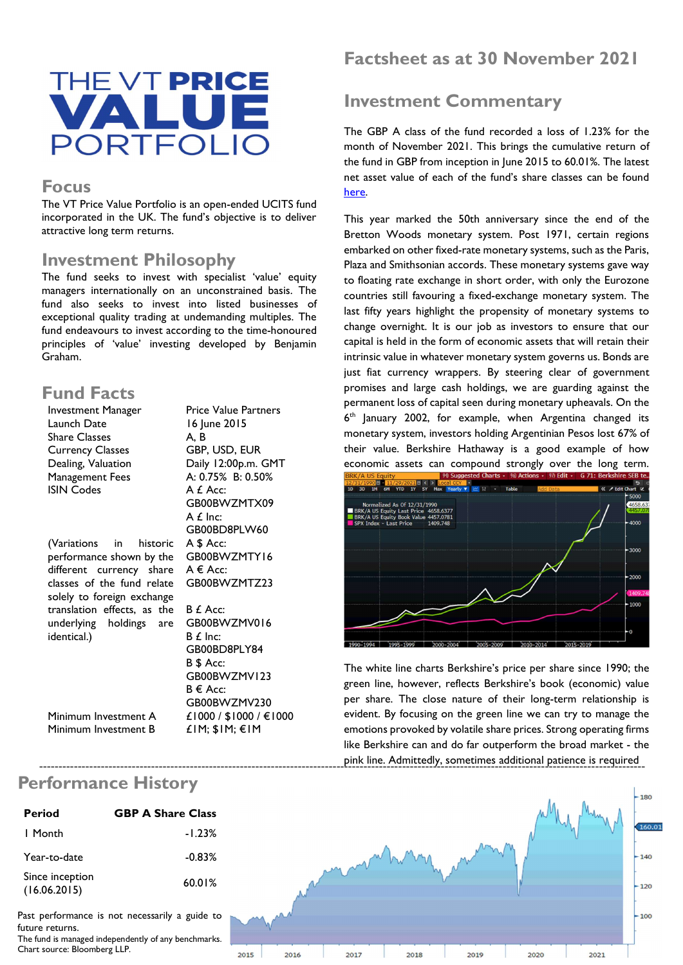

#### **Focus**

The VT Price Value Portfolio is an open-ended UCITS fund incorporated in the UK. The fund's objective is to deliver attractive long term returns.

#### Investment Philosophy

The fund seeks to invest with specialist 'value' equity managers internationally on an unconstrained basis. The fund also seeks to invest into listed businesses of exceptional quality trading at undemanding multiples. The fund endeavours to invest according to the time-honoured principles of 'value' investing developed by Benjamin Graham.

## Fund Facts

| Investment Manager          | <b>Price Value Partners</b> |
|-----------------------------|-----------------------------|
| Launch Date                 | 16 June 2015                |
| <b>Share Classes</b>        | A. B                        |
| <b>Currency Classes</b>     | GBP, USD, EUR               |
| Dealing, Valuation          | Daily 12:00p.m. GMT         |
| Management Fees             | A: 0.75% B: 0.50%           |
| <b>ISIN Codes</b>           | A £ Acc:                    |
|                             | GB00BWZMTX09                |
|                             | $A f$ Inc:                  |
|                             | GB00BD8PLW60                |
| (Variations in<br>historic  | A \$ Acc:                   |
| performance shown by the    | GB00BWZMTY16                |
| different currency share    | $A \in Acc$ :               |
| classes of the fund relate  | GB00BWZMTZ23                |
| solely to foreign exchange  |                             |
| translation effects, as the | B £ Acc:                    |
| underlying holdings are     | GB00BWZMV016                |
| identical.)                 | $B f$ Inc:                  |
|                             | GB00BD8PLY84                |
|                             | B \$ Acc:                   |
|                             | GB00BWZMV123                |
|                             | $B \in Acc$ :               |
|                             | GB00BWZMV230                |
| Minimum Investment A        | £1000 / \$1000 / €1000      |

£1M; \$1M; €1M

Factsheet as at 30 November 2021

# Investment Commentary

The GBP A class of the fund recorded a loss of 1.23% for the month of November 2021. This brings the cumulative return of the fund in GBP from inception in June 2015 to 60.01%. The latest net asset value of each of the fund's share classes can be found here.

This year marked the 50th anniversary since the end of the Bretton Woods monetary system. Post 1971, certain regions embarked on other fixed-rate monetary systems, such as the Paris, Plaza and Smithsonian accords. These monetary systems gave way to floating rate exchange in short order, with only the Eurozone countries still favouring a fixed-exchange monetary system. The last fifty years highlight the propensity of monetary systems to change overnight. It is our job as investors to ensure that our capital is held in the form of economic assets that will retain their intrinsic value in whatever monetary system governs us. Bonds are just fiat currency wrappers. By steering clear of government promises and large cash holdings, we are guarding against the permanent loss of capital seen during monetary upheavals. On the 6 th January 2002, for example, when Argentina changed its monetary system, investors holding Argentinian Pesos lost 67% of their value. Berkshire Hathaway is a good example of how economic assets can compound strongly over the long term.



The white line charts Berkshire's price per share since 1990; the green line, however, reflects Berkshire's book (economic) value per share. The close nature of their long-term relationship is evident. By focusing on the green line we can try to manage the emotions provoked by volatile share prices. Strong operating firms like Berkshire can and do far outperform the broad market - the pink line. Admittedly, sometimes additional patience is required -------------------------------------------------------------------------------------------------------------------------------------------------------------



Past performance is not necessarily a guide to future returns.

Since inception

The fund is managed independently of any benchmarks. Chart source: Bloomberg LLP.



### Performance History

Minimum Investment B